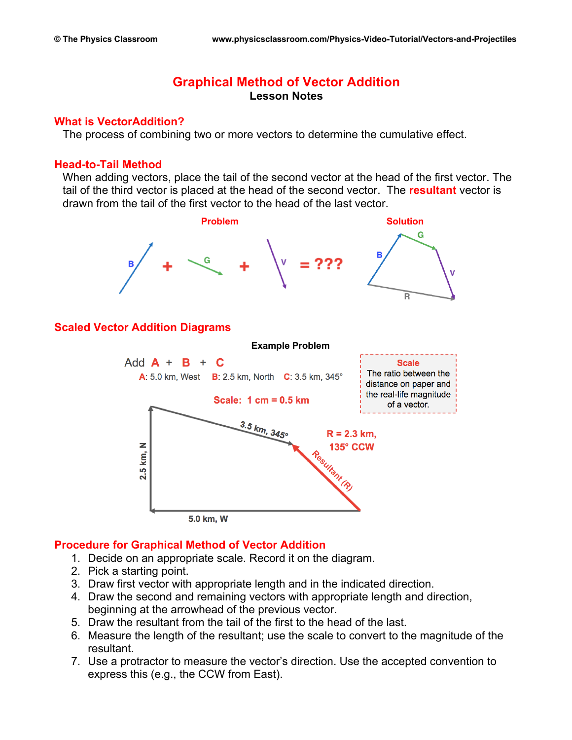# **Graphical Method of Vector Addition Lesson Notes**

#### **What is VectorAddition?**

The process of combining two or more vectors to determine the cumulative effect.

#### **Head-to-Tail Method**

When adding vectors, place the tail of the second vector at the head of the first vector. The tail of the third vector is placed at the head of the second vector. The **resultant** vector is drawn from the tail of the first vector to the head of the last vector.



5.0 km, W

### **Procedure for Graphical Method of Vector Addition**

- 1. Decide on an appropriate scale. Record it on the diagram.
- 2. Pick a starting point.
- 3. Draw first vector with appropriate length and in the indicated direction.
- 4. Draw the second and remaining vectors with appropriate length and direction, beginning at the arrowhead of the previous vector.
- 5. Draw the resultant from the tail of the first to the head of the last.
- 6. Measure the length of the resultant; use the scale to convert to the magnitude of the resultant.
- 7. Use a protractor to measure the vector's direction. Use the accepted convention to express this (e.g., the CCW from East).